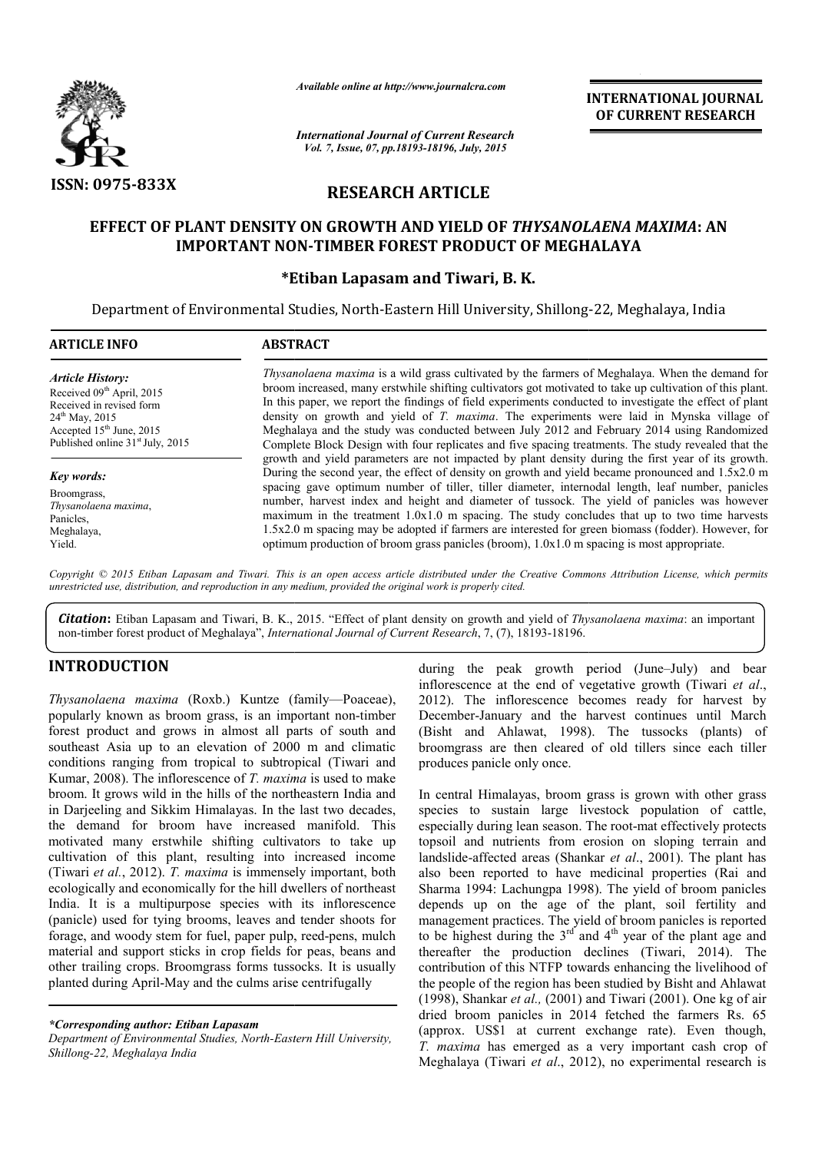

*Available online at http://www.journalcra.com*

*International Journal of Current Research Vol. 7, Issue, 07, pp.18193-18196, July, 2015*

INTERNATIONAL INTERNATIONAL JOURNAL OF CURRENT RESEARCH

# RESEARCH ARTICLE

## EFFECT OF PLANT DENSITY ON GROWTH AND YIELD OF *THYSANOLAENA MAXIMA MAXIMA*: AN IMPORTANT NON-TIMBER FOREST PRODUCT OF MEGHALAYA

#### \*Etiban Etiban Lapasam and Tiwari, B. K.

Department of Environmental Studies, North-Eastern Hill University, Shillong-22, Meghalaya, India

| <b>ARTICLE INFO</b>                                                                                                                                                                               | <b>ABSTRACT</b>                                                                                                                                                                                                                                                                                                                                                                                                                                                                                                                                                                                                                                                                                                     |  |  |  |  |  |
|---------------------------------------------------------------------------------------------------------------------------------------------------------------------------------------------------|---------------------------------------------------------------------------------------------------------------------------------------------------------------------------------------------------------------------------------------------------------------------------------------------------------------------------------------------------------------------------------------------------------------------------------------------------------------------------------------------------------------------------------------------------------------------------------------------------------------------------------------------------------------------------------------------------------------------|--|--|--|--|--|
| <b>Article History:</b><br>Received 09 <sup>th</sup> April, 2015<br>Received in revised form<br>$24^{th}$ May, 2015<br>Accepted $15th$ June, 2015<br>Published online 31 <sup>st</sup> July, 2015 | <i>Thysanolaena maxima</i> is a wild grass cultivated by the farmers of Meghalaya. When the demand for<br>broom increased, many erstwhile shifting cultivators got motivated to take up cultivation of this plant.<br>In this paper, we report the findings of field experiments conducted to investigate the effect of plant<br>density on growth and yield of T. maxima. The experiments were laid in Mynska village of<br>Meghalaya and the study was conducted between July 2012 and February 2014 using Randomized<br>Complete Block Design with four replicates and five spacing treatments. The study revealed that the                                                                                      |  |  |  |  |  |
| <b>Key words:</b><br>Broomgrass,<br>Thysanolaena maxima,<br>Panicles.<br>Meghalaya,<br>Yield.                                                                                                     | growth and yield parameters are not impacted by plant density during the first year of its growth.<br>During the second year, the effect of density on growth and yield became pronounced and 1.5x2.0 m<br>spacing gave optimum number of tiller, tiller diameter, internodal length, leaf number, panicles<br>number, harvest index and height and diameter of tussock. The yield of panicles was however<br>maximum in the treatment $1.0x1.0$ m spacing. The study concludes that up to two time harvests<br>1.5x2.0 m spacing may be adopted if farmers are interested for green biomass (fodder). However, for<br>optimum production of broom grass panicles (broom), $1.0x1.0$ m spacing is most appropriate. |  |  |  |  |  |

*Copyright © 2015 Etiban Lapasam and Tiwari. This is an open access article distributed under the Creative Commons Att under Attribution License, which permits unrestricted use, distribution, and reproduction in any medium, provided the original work is properly cited.*

*Citation*: Etiban Lapasam and Tiwari, B. K., 2015. "Effect of plant density on growth and yield of *Thysanolaena maxima Thysanolaena* : an important non-timber forest product of Meghalaya", *International Journal of Current Research* , 7, (7), 18193-18196.

## INTRODUCTION

*Thysanolaena maxima* (Roxb.) Kuntze (family (family—Poaceae), popularly known as broom grass, is an important non-timber forest product and grows in almost all parts of south and southeast Asia up to an elevation of 2000 m and climatic conditions ranging from tropical to subtropical (Tiwari and Kumar, 2008). The inflorescence of *T. maxima* is used to make broom. It grows wild in the hills of the northeastern India and in Darjeeling and Sikkim Himalayas. In the last two decades, the demand for broom have increased manifold. This motivated many erstwhile shifting cultivators to take up cultivation of this plant, resulting into increased income (Tiwari *et al.*, 2012). *T. maxima* is immensely important, both ecologically and economically for the hill dwellers of northeast India. It is a multipurpose species with its inflorescence (panicle) used for tying brooms, leaves and tender shoots for forage, and woody stem for fuel, paper pulp, reed material and support sticks in crop fields for peas, beans and other trailing crops. Broomgrass forms tussocks. It is usually other trailing crops. Broomgrass forms tussocks. It is usu planted during April-May and the culms arise centrifugally ed many erstwhile shifting cultivators to take up<br>ion of this plant, resulting into increased income<br>*et al.*, 2012). *T. maxima* is immensely important, both<br>cally and economically for the hill dwellers of northeast<br>It is

*\*Corresponding author: Etiban Lapasam* 

*Department of Environmental Studies, North-Eastern Hill University, Shillong-22, Meghalaya India*

inflorescence at the end of vegetative growth *(Tiwari et al.,* 2012). The inflorescence becomes ready for harvest by December-January and the harvest continues until March (Bisht and Ahlawat, 1998). The tussocks (plants) of broomgrass are then cleared of old tillers since each tiller produces panicle only once. during the peak growth period (June–July) and bear 2012). The inflorescence becomes ready for harvest by December-January and the harvest continues until March<br>(Bisht and Ahlawat, 1998). The tussocks (plants) of

during the peak growth period (June<br>
important inflorescence at the end of vegetative growth<br>
important non-timber<br>
December-January and the harvest cred<br>
important non-timber<br>
December-January and the harvest conti<br>
ll pa In central Himalayas, broom grass is grown with other grass species to sustain large livestock population of cattle, especially during lean season. The root topsoil and nutrients from erosion on sloping terrain and topsoil and nutrients from erosion on sloping terrain and landslide-affected areas (Shankar *et al.*, 2001). The plant has also been reported to have medicinal properties (Rai and also been reported to have medicinal properties (Rai and Sharma 1994: Lachungpa 1998). The yield of broom panicles depends up on the age of the plant, soil fertility and management practices. The yield of broom panicles is reported to be highest during the  $3<sup>rd</sup>$  and 4 thereafter the production declines (Tiwari, 2014). The contribution of this NTFP towards enhancing the livelihood of the people of the region has been studied by Bisht and Ahlawat (1998), Shankar *et al.,* (2001) and Tiwari (2001). One kg of air dried broom panicles in 2014 fetched the farmers Rs. 65 (approx. US\$1 at current exchange rate). Even though, *T. maxima* has emerged as a very important cash crop of Meghalaya (Tiwari *et al*., 2012), no experimental research is malayas, broom grass is grown with other grass<br>sustain large livestock population of cattle,<br>ring lean season. The root-mat effectively protects of the plant, soil fertility and<br>yield of broom panicles is reported<br> $\int_a$  and  $4^{\text{th}}$  year of the plant age and bution of this NTFP towards enhancing the livel<br>cople of the region has been studied by Bisht and<br>), Shankar *et al.*, (2001) and Tiwari (2001). One<br>broom panicles in 2014 fetched the farmers a very no experimental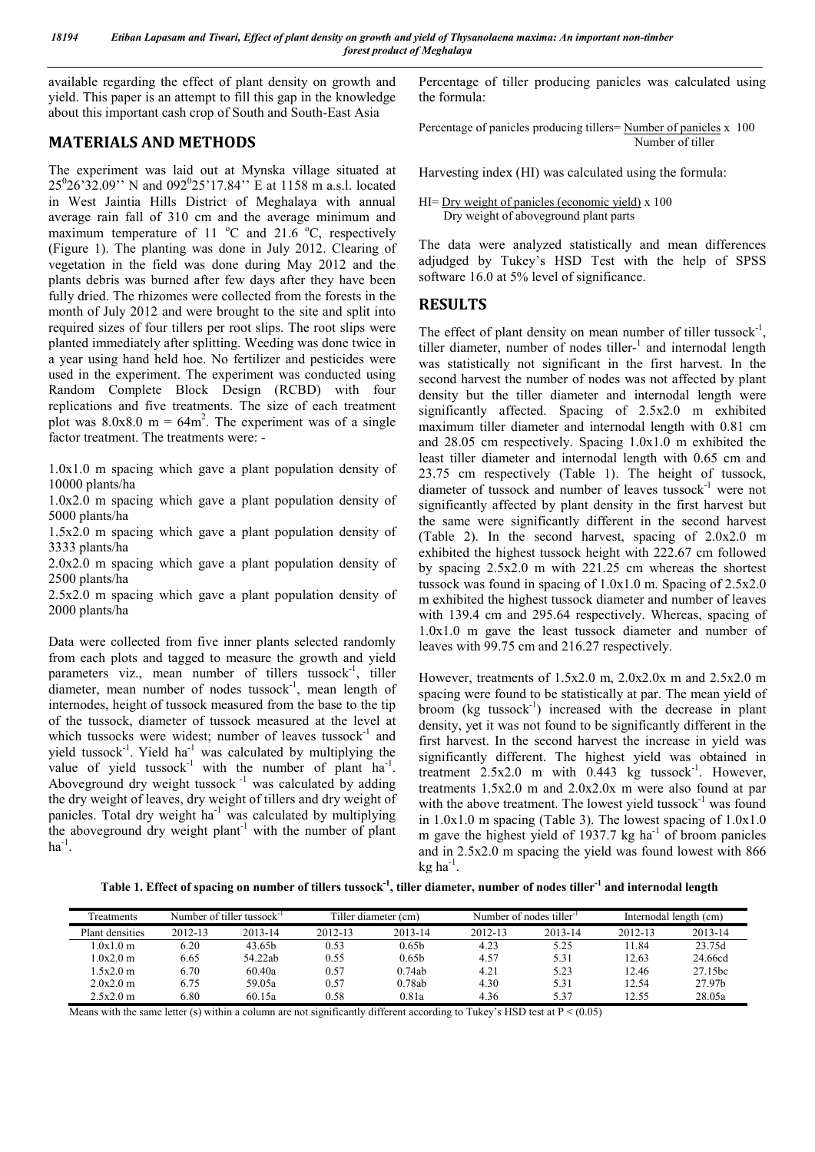available regarding the effect of plant density on growth and yield. This paper is an attempt to fill this gap in the knowledge about this important cash crop of South and South-East Asia

## MATERIALS AND METHODS

The experiment was laid out at Mynska village situated at 25<sup>0</sup>26'32.09'' N and 092<sup>0</sup>25'17.84'' E at 1158 m a.s.l. located in West Jaintia Hills District of Meghalaya with annual average rain fall of 310 cm and the average minimum and maximum temperature of 11  $^{\circ}$ C and 21.6  $^{\circ}$ C, respectively (Figure 1). The planting was done in July 2012. Clearing of vegetation in the field was done during May 2012 and the plants debris was burned after few days after they have been fully dried. The rhizomes were collected from the forests in the month of July 2012 and were brought to the site and split into required sizes of four tillers per root slips. The root slips were planted immediately after splitting. Weeding was done twice in a year using hand held hoe. No fertilizer and pesticides were used in the experiment. The experiment was conducted using Random Complete Block Design (RCBD) with four replications and five treatments. The size of each treatment plot was  $8.0x8.0 \text{ m} = 64 \text{ m}^2$ . The experiment was of a single factor treatment. The treatments were: -

1.0x1.0 m spacing which gave a plant population density of 10000 plants/ha

1.0x2.0 m spacing which gave a plant population density of 5000 plants/ha

1.5x2.0 m spacing which gave a plant population density of 3333 plants/ha

2.0x2.0 m spacing which gave a plant population density of 2500 plants/ha

2.5x2.0 m spacing which gave a plant population density of 2000 plants/ha

Data were collected from five inner plants selected randomly from each plots and tagged to measure the growth and yield parameters viz., mean number of tillers tussock<sup>-1</sup>, tiller diameter, mean number of nodes tussock $^{-1}$ , mean length of internodes, height of tussock measured from the base to the tip of the tussock, diameter of tussock measured at the level at which tussocks were widest; number of leaves tussock $^{-1}$  and yield tussock<sup>-1</sup>. Yield ha<sup>-1</sup> was calculated by multiplying the value of yield tussock<sup>-1</sup> with the number of plant  $ha^{-1}$ . Aboveground dry weight tussock $^{-1}$  was calculated by adding the dry weight of leaves, dry weight of tillers and dry weight of panicles. Total dry weight ha<sup>-1</sup> was calculated by multiplying the aboveground dry weight plant<sup>-1</sup> with the number of plant  $ha^{-1}$ .

Percentage of tiller producing panicles was calculated using the formula:

Percentage of panicles producing tillers= Number of panicles x 100 Number of tiller

Harvesting index (HI) was calculated using the formula:

```
HI= Dry weight of panicles (economic yield) x 100
     Dry weight of aboveground plant parts
```
The data were analyzed statistically and mean differences adjudged by Tukey's HSD Test with the help of SPSS software 16.0 at 5% level of significance.

## RESULTS

The effect of plant density on mean number of tiller tussock<sup>-1</sup>, tiller diameter, number of nodes tiller-<sup>1</sup> and internodal length was statistically not significant in the first harvest. In the second harvest the number of nodes was not affected by plant density but the tiller diameter and internodal length were significantly affected. Spacing of 2.5x2.0 m exhibited maximum tiller diameter and internodal length with 0.81 cm and 28.05 cm respectively. Spacing 1.0x1.0 m exhibited the least tiller diameter and internodal length with 0.65 cm and 23.75 cm respectively (Table 1). The height of tussock, diameter of tussock and number of leaves tussock-1 were not significantly affected by plant density in the first harvest but the same were significantly different in the second harvest (Table 2). In the second harvest, spacing of 2.0x2.0 m exhibited the highest tussock height with 222.67 cm followed by spacing 2.5x2.0 m with 221.25 cm whereas the shortest tussock was found in spacing of 1.0x1.0 m. Spacing of 2.5x2.0 m exhibited the highest tussock diameter and number of leaves with 139.4 cm and 295.64 respectively. Whereas, spacing of 1.0x1.0 m gave the least tussock diameter and number of leaves with 99.75 cm and 216.27 respectively.

However, treatments of 1.5x2.0 m, 2.0x2.0x m and 2.5x2.0 m spacing were found to be statistically at par. The mean yield of broom (kg tussock<sup>-1</sup>) increased with the decrease in plant density, yet it was not found to be significantly different in the first harvest. In the second harvest the increase in yield was significantly different. The highest yield was obtained in treatment  $2.5x2.0$  m with  $0.443$  kg tussock<sup>-1</sup>. However, treatments 1.5x2.0 m and 2.0x2.0x m were also found at par with the above treatment. The lowest yield tussock $^{-1}$  was found in  $1.0x1.0$  m spacing (Table 3). The lowest spacing of  $1.0x1.0$ m gave the highest yield of  $1937.7$  kg ha<sup>-1</sup> of broom panicles and in 2.5x2.0 m spacing the yield was found lowest with 866  $kg$  ha<sup>-1</sup>.

Table 1. Effect of spacing on number of tillers tussock<sup>-1</sup>, tiller diameter, number of nodes tiller<sup>-1</sup> and internodal length

| <b>Treatments</b> | Number of tiller tussock <sup>-1</sup> |                    | Tiller diameter (cm) |                   |         | Number of nodes tiller <sup>-1</sup> | Internodal length (cm) |                     |  |
|-------------------|----------------------------------------|--------------------|----------------------|-------------------|---------|--------------------------------------|------------------------|---------------------|--|
| Plant densities   | 2012-13                                | 2013-14            | 2012-13              | 2013-14           | 2012-13 | 2013-14                              | 2012-13                | 2013-14             |  |
| 1.0x1.0m          | 6.20                                   | 43.65 <sub>h</sub> | 0.53                 | 0.65 <sub>b</sub> | 4.23    | 5.25                                 | 11.84                  | 23.75d              |  |
| 1.0x2.0m          | 6.65                                   | 54.22ab            | 0.55                 | 0.65 <sub>b</sub> | 4.57    | 5.31                                 | 12.63                  | 24.66cd             |  |
| 1.5x2.0m          | 6.70                                   | 60.40a             | 0.57                 | 0.74ab            | 4.21    | 5.23                                 | 12.46                  | 27.15 <sub>bc</sub> |  |
| 2.0x2.0m          | 6.75                                   | 59.05a             | 0.57                 | 0.78ab            | 4.30    | 5.31                                 | 12.54                  | 27.97b              |  |
| 2.5x2.0m          | 6.80                                   | 60.15a             | 0.58                 | 0.81a             | 4.36    | 5.37                                 | 12.55                  | 28.05a              |  |

Means with the same letter (s) within a column are not significantly different according to Tukey's HSD test at  $P < (0.05)$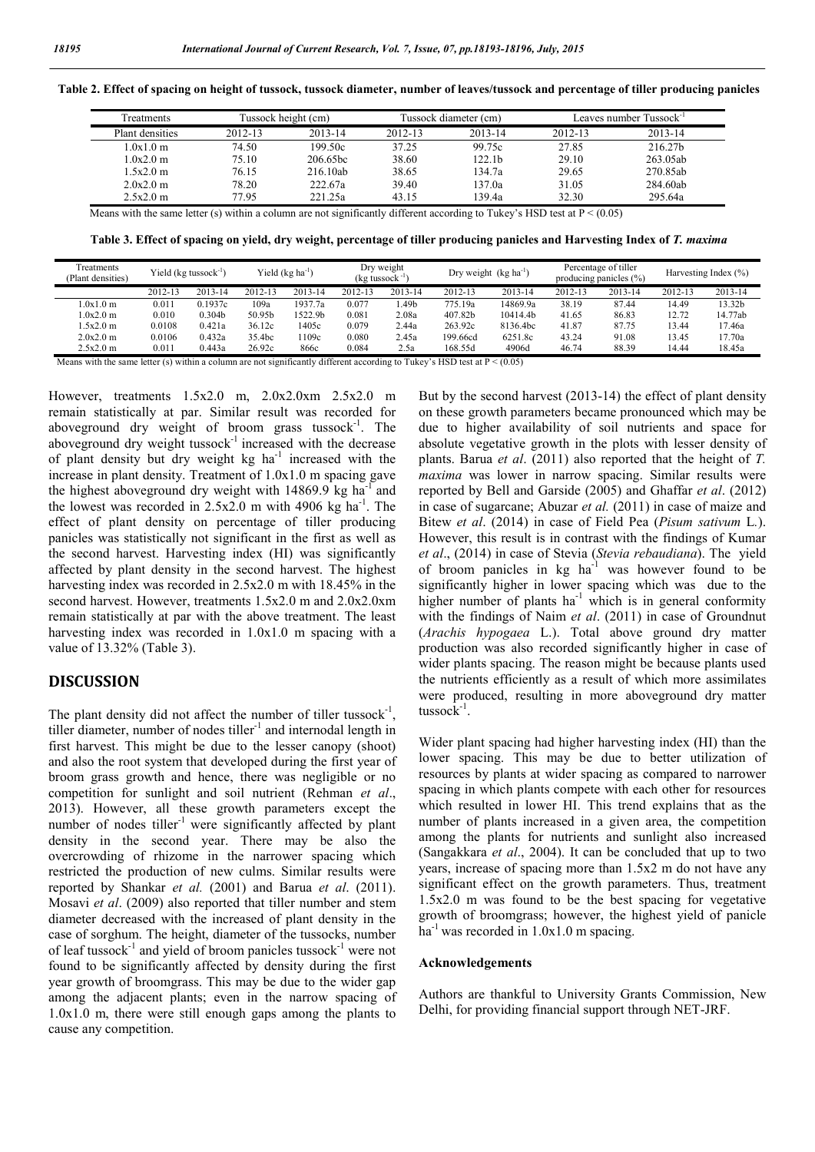| Freatments      |         | Tussock height (cm)  |         | Tussock diameter (cm) | Leaves number Tussock <sup>-1</sup> |          |  |
|-----------------|---------|----------------------|---------|-----------------------|-------------------------------------|----------|--|
| Plant densities | 2012-13 | 2013-14              | 2012-13 | 2013-14               | 2012-13                             | 2013-14  |  |
| 1.0x1.0m        | 74.50   | 199.50c              | 37.25   | 99.75c                | 27.85                               | 216.27b  |  |
| 1.0x2.0m        | 75.10   | 206.65 <sub>hc</sub> | 38.60   | 122.1b                | 29.10                               | 263.05ab |  |
| 1.5x2.0m        | 76.15   | 216.10ab             | 38.65   | 134.7a                | 29.65                               | 270.85ab |  |
| 2.0x2.0m        | 78.20   | 222.67a              | 39.40   | 137.0a                | 31.05                               | 284.60ab |  |
| 2.5x2.0m        | 77.95   | 221.25a              | 43.15   | 139.4a                | 32.30                               | 295.64a  |  |

Table 2. Effect of spacing on height of tussock, tussock diameter, number of leaves/tussock and percentage of tiller producing panicles

Means with the same letter (s) within a column are not significantly different according to Tukey's HSD test at  $P < (0.05)$ 

Table 3. Effect of spacing on yield, dry weight, percentage of tiller producing panicles and Harvesting Index of *T. maxima*

| Treatments<br>(Plant densities) | Yield $(kg$ tussock <sup>-1</sup> ) |                    | Yield $(kg ha^{-1})$ |                     | Dry weight<br>$($ kg tussock $^{-1}$ |         | Dry weight $(kg ha^{-1})$ |          | Percentage of tiller<br>producing panicles $(\% )$ |         | Harvesting Index (%) |                    |
|---------------------------------|-------------------------------------|--------------------|----------------------|---------------------|--------------------------------------|---------|---------------------------|----------|----------------------------------------------------|---------|----------------------|--------------------|
|                                 | 2012-13                             | 2013-14            | 2012-13              | 2013-14             | 2012-13                              | 2013-14 | 2012-13                   | 2013-14  | 2012-13                                            | 2013-14 | 2012-13              | 2013-14            |
| 1.0x1.0m                        | 0.011                               | 0.1937c            | 109a                 | 1937.7a             | 0.077                                | .49b    | 775.19a                   | 4869.9a  | 38.19                                              | 87.44   | 14.49                | 13.32 <sub>b</sub> |
| 1.0x2.0m                        | 0.010                               | 0.304 <sub>b</sub> | 50.95b               | 1522.9 <sub>h</sub> | 0.081                                | 2.08a   | 407.82b                   | 10414.4b | 41.65                                              | 86.83   | 12.72                | 14.77ab            |
| 1.5x2.0m                        | 0.0108                              | 0.421a             | 36.12c               | 1405c               | 0.079                                | 2.44a   | 263.92c                   | 8136.4bc | 41.87                                              | 87.75   | 13.44                | 17.46a             |
| 2.0x2.0m                        | 0.0106                              | 0.432a             | 35.4bc               | 1109c               | 0.080                                | 2.45a   | 199.66cd                  | 6251.8c  | 43.24                                              | 91.08   | 13.45                | 17.70a             |
| 2.5x2.0m                        | 0.011                               | 0.443a             | 26.92c               | 866c                | 0.084                                | 2.5a    | 168.55d                   | 4906d    | 46.74                                              | 88.39   | 14.44                | 18.45a             |

Means with the same letter (s) within a column are not significantly different according to Tukey's HSD test at  $P < (0.05)$ 

However, treatments 1.5x2.0 m, 2.0x2.0xm 2.5x2.0 m remain statistically at par. Similar result was recorded for aboveground dry weight of broom grass tussock $^{-1}$ . The aboveground dry weight tussock<sup>-1</sup> increased with the decrease of plant density but dry weight  $kg$  ha<sup>-1</sup> increased with the increase in plant density. Treatment of 1.0x1.0 m spacing gave the highest aboveground dry weight with  $14869.9$  kg ha<sup>-1</sup> and the lowest was recorded in  $2.5x2.0$  m with 4906 kg ha<sup>-1</sup>. The effect of plant density on percentage of tiller producing panicles was statistically not significant in the first as well as the second harvest. Harvesting index (HI) was significantly affected by plant density in the second harvest. The highest harvesting index was recorded in 2.5x2.0 m with 18.45% in the second harvest. However, treatments 1.5x2.0 m and 2.0x2.0xm remain statistically at par with the above treatment. The least harvesting index was recorded in 1.0x1.0 m spacing with a value of 13.32% (Table 3).

#### DISCUSSION

The plant density did not affect the number of tiller tussock<sup>-1</sup>, tiller diameter, number of nodes tiller $^{-1}$  and internodal length in first harvest. This might be due to the lesser canopy (shoot) and also the root system that developed during the first year of broom grass growth and hence, there was negligible or no competition for sunlight and soil nutrient (Rehman *et al*., 2013). However, all these growth parameters except the number of nodes tiller<sup>-1</sup> were significantly affected by plant density in the second year. There may be also the overcrowding of rhizome in the narrower spacing which restricted the production of new culms. Similar results were reported by Shankar *et al.* (2001) and Barua *et al*. (2011). Mosavi *et al*. (2009) also reported that tiller number and stem diameter decreased with the increased of plant density in the case of sorghum. The height, diameter of the tussocks, number of leaf tussock<sup>-1</sup> and yield of broom panicles tussock<sup>-1</sup> were not found to be significantly affected by density during the first year growth of broomgrass. This may be due to the wider gap among the adjacent plants; even in the narrow spacing of 1.0x1.0 m, there were still enough gaps among the plants to cause any competition.

But by the second harvest (2013-14) the effect of plant density on these growth parameters became pronounced which may be due to higher availability of soil nutrients and space for absolute vegetative growth in the plots with lesser density of plants. Barua *et al*. (2011) also reported that the height of *T. maxima* was lower in narrow spacing. Similar results were reported by Bell and Garside (2005) and Ghaffar *et al*. (2012) in case of sugarcane; Abuzar *et al.* (2011) in case of maize and Bitew *et al*. (2014) in case of Field Pea (*Pisum sativum* L*.*). However, this result is in contrast with the findings of Kumar *et al*., (2014) in case of Stevia (*Stevia rebaudiana*). The yield of broom panicles in kg ha<sup>-1</sup> was however found to be significantly higher in lower spacing which was due to the higher number of plants  $ha^{-1}$  which is in general conformity with the findings of Naim *et al*. (2011) in case of Groundnut (*Arachis hypogaea* L.). Total above ground dry matter production was also recorded significantly higher in case of wider plants spacing. The reason might be because plants used the nutrients efficiently as a result of which more assimilates were produced, resulting in more aboveground dry matter tussock-1 .

Wider plant spacing had higher harvesting index (HI) than the lower spacing. This may be due to better utilization of resources by plants at wider spacing as compared to narrower spacing in which plants compete with each other for resources which resulted in lower HI. This trend explains that as the number of plants increased in a given area, the competition among the plants for nutrients and sunlight also increased (Sangakkara *et al*., 2004). It can be concluded that up to two years, increase of spacing more than 1.5x2 m do not have any significant effect on the growth parameters. Thus, treatment 1.5x2.0 m was found to be the best spacing for vegetative growth of broomgrass; however, the highest yield of panicle ha<sup>-1</sup> was recorded in  $1.0x1.0$  m spacing.

#### Acknowledgements

Authors are thankful to University Grants Commission, New Delhi, for providing financial support through NET-JRF.